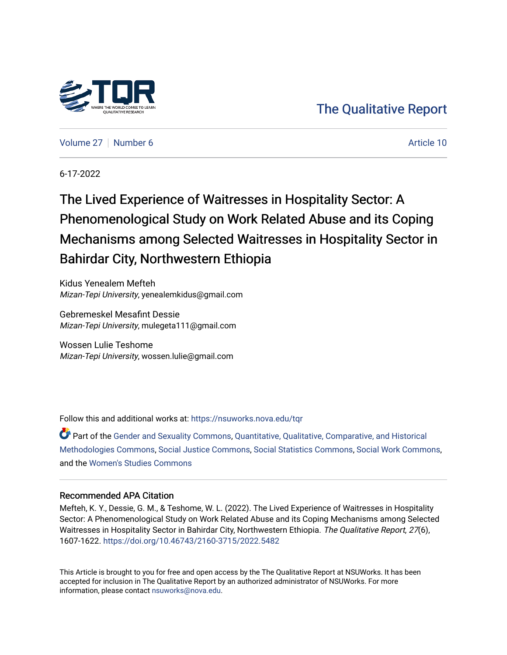

# [The Qualitative Report](https://nsuworks.nova.edu/tqr)

[Volume 27](https://nsuworks.nova.edu/tqr/vol27) [Number 6](https://nsuworks.nova.edu/tqr/vol27/iss6) Article 10

6-17-2022

The Lived Experience of Waitresses in Hospitality Sector: A Phenomenological Study on Work Related Abuse and its Coping Mechanisms among Selected Waitresses in Hospitality Sector in Bahirdar City, Northwestern Ethiopia

Kidus Yenealem Mefteh Mizan-Tepi University, yenealemkidus@gmail.com

Gebremeskel Mesafint Dessie Mizan-Tepi University, mulegeta111@gmail.com

Wossen Lulie Teshome Mizan-Tepi University, wossen.lulie@gmail.com

Follow this and additional works at: [https://nsuworks.nova.edu/tqr](https://nsuworks.nova.edu/tqr?utm_source=nsuworks.nova.edu%2Ftqr%2Fvol27%2Fiss6%2F10&utm_medium=PDF&utm_campaign=PDFCoverPages) 

Part of the [Gender and Sexuality Commons](https://network.bepress.com/hgg/discipline/420?utm_source=nsuworks.nova.edu%2Ftqr%2Fvol27%2Fiss6%2F10&utm_medium=PDF&utm_campaign=PDFCoverPages), [Quantitative, Qualitative, Comparative, and Historical](https://network.bepress.com/hgg/discipline/423?utm_source=nsuworks.nova.edu%2Ftqr%2Fvol27%2Fiss6%2F10&utm_medium=PDF&utm_campaign=PDFCoverPages)  [Methodologies Commons](https://network.bepress.com/hgg/discipline/423?utm_source=nsuworks.nova.edu%2Ftqr%2Fvol27%2Fiss6%2F10&utm_medium=PDF&utm_campaign=PDFCoverPages), [Social Justice Commons](https://network.bepress.com/hgg/discipline/1432?utm_source=nsuworks.nova.edu%2Ftqr%2Fvol27%2Fiss6%2F10&utm_medium=PDF&utm_campaign=PDFCoverPages), [Social Statistics Commons](https://network.bepress.com/hgg/discipline/1275?utm_source=nsuworks.nova.edu%2Ftqr%2Fvol27%2Fiss6%2F10&utm_medium=PDF&utm_campaign=PDFCoverPages), [Social Work Commons,](https://network.bepress.com/hgg/discipline/713?utm_source=nsuworks.nova.edu%2Ftqr%2Fvol27%2Fiss6%2F10&utm_medium=PDF&utm_campaign=PDFCoverPages) and the [Women's Studies Commons](https://network.bepress.com/hgg/discipline/561?utm_source=nsuworks.nova.edu%2Ftqr%2Fvol27%2Fiss6%2F10&utm_medium=PDF&utm_campaign=PDFCoverPages) 

#### Recommended APA Citation

Mefteh, K. Y., Dessie, G. M., & Teshome, W. L. (2022). The Lived Experience of Waitresses in Hospitality Sector: A Phenomenological Study on Work Related Abuse and its Coping Mechanisms among Selected Waitresses in Hospitality Sector in Bahirdar City, Northwestern Ethiopia. The Qualitative Report, 27(6), 1607-1622. <https://doi.org/10.46743/2160-3715/2022.5482>

This Article is brought to you for free and open access by the The Qualitative Report at NSUWorks. It has been accepted for inclusion in The Qualitative Report by an authorized administrator of NSUWorks. For more information, please contact [nsuworks@nova.edu.](mailto:nsuworks@nova.edu)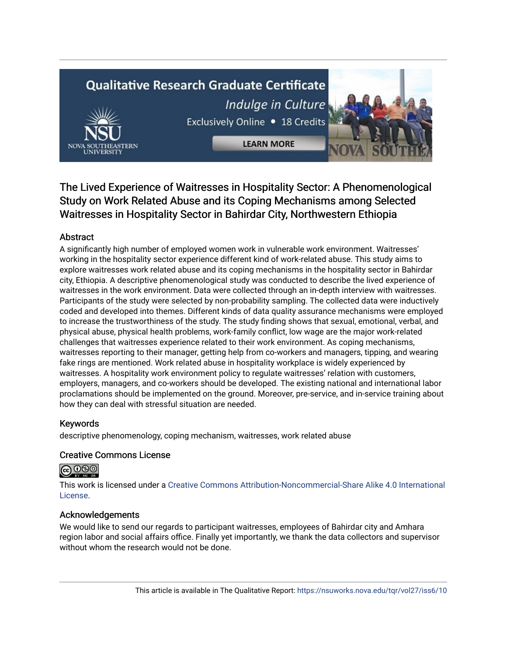# **Qualitative Research Graduate Certificate** Indulge in Culture



**LEARN MORE** 



The Lived Experience of Waitresses in Hospitality Sector: A Phenomenological Study on Work Related Abuse and its Coping Mechanisms among Selected Waitresses in Hospitality Sector in Bahirdar City, Northwestern Ethiopia

# Abstract

A significantly high number of employed women work in vulnerable work environment. Waitresses' working in the hospitality sector experience different kind of work-related abuse. This study aims to explore waitresses work related abuse and its coping mechanisms in the hospitality sector in Bahirdar city, Ethiopia. A descriptive phenomenological study was conducted to describe the lived experience of waitresses in the work environment. Data were collected through an in-depth interview with waitresses. Participants of the study were selected by non-probability sampling. The collected data were inductively coded and developed into themes. Different kinds of data quality assurance mechanisms were employed to increase the trustworthiness of the study. The study finding shows that sexual, emotional, verbal, and physical abuse, physical health problems, work-family conflict, low wage are the major work-related challenges that waitresses experience related to their work environment. As coping mechanisms, waitresses reporting to their manager, getting help from co-workers and managers, tipping, and wearing fake rings are mentioned. Work related abuse in hospitality workplace is widely experienced by waitresses. A hospitality work environment policy to regulate waitresses' relation with customers, employers, managers, and co-workers should be developed. The existing national and international labor proclamations should be implemented on the ground. Moreover, pre-service, and in-service training about how they can deal with stressful situation are needed.

# Keywords

descriptive phenomenology, coping mechanism, waitresses, work related abuse

# Creative Commons License



This work is licensed under a [Creative Commons Attribution-Noncommercial-Share Alike 4.0 International](https://creativecommons.org/licenses/by-nc-sa/4.0/)  [License](https://creativecommons.org/licenses/by-nc-sa/4.0/).

# Acknowledgements

We would like to send our regards to participant waitresses, employees of Bahirdar city and Amhara region labor and social affairs office. Finally yet importantly, we thank the data collectors and supervisor without whom the research would not be done.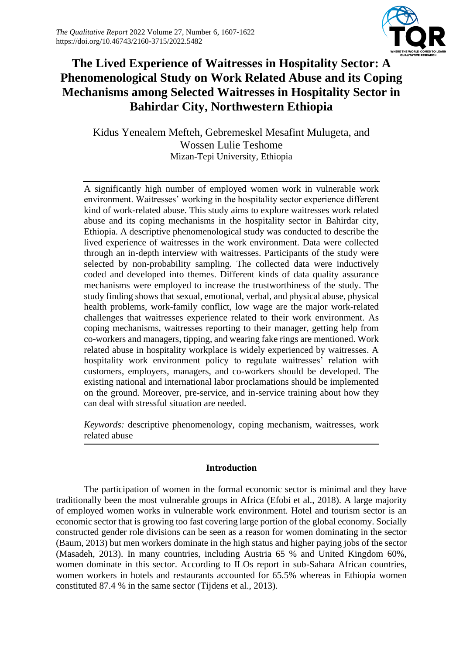

# **The Lived Experience of Waitresses in Hospitality Sector: A Phenomenological Study on Work Related Abuse and its Coping Mechanisms among Selected Waitresses in Hospitality Sector in Bahirdar City, Northwestern Ethiopia**

Kidus Yenealem Mefteh, Gebremeskel Mesafint Mulugeta, and Wossen Lulie Teshome Mizan-Tepi University, Ethiopia

A significantly high number of employed women work in vulnerable work environment. Waitresses' working in the hospitality sector experience different kind of work-related abuse. This study aims to explore waitresses work related abuse and its coping mechanisms in the hospitality sector in Bahirdar city, Ethiopia. A descriptive phenomenological study was conducted to describe the lived experience of waitresses in the work environment. Data were collected through an in-depth interview with waitresses. Participants of the study were selected by non-probability sampling. The collected data were inductively coded and developed into themes. Different kinds of data quality assurance mechanisms were employed to increase the trustworthiness of the study. The study finding shows that sexual, emotional, verbal, and physical abuse, physical health problems, work-family conflict, low wage are the major work-related challenges that waitresses experience related to their work environment. As coping mechanisms, waitresses reporting to their manager, getting help from co-workers and managers, tipping, and wearing fake rings are mentioned. Work related abuse in hospitality workplace is widely experienced by waitresses. A hospitality work environment policy to regulate waitresses' relation with customers, employers, managers, and co-workers should be developed. The existing national and international labor proclamations should be implemented on the ground. Moreover, pre-service, and in-service training about how they can deal with stressful situation are needed.

*Keywords:* descriptive phenomenology, coping mechanism, waitresses, work related abuse

# **Introduction**

The participation of women in the formal economic sector is minimal and they have traditionally been the most vulnerable groups in Africa (Efobi et al., 2018). A large majority of employed women works in vulnerable work environment. Hotel and tourism sector is an economic sector that is growing too fast covering large portion of the global economy. Socially constructed gender role divisions can be seen as a reason for women dominating in the sector (Baum, 2013) but men workers dominate in the high status and higher paying jobs of the sector (Masadeh, 2013). In many countries, including Austria 65 % and United Kingdom 60%, women dominate in this sector. According to ILOs report in sub-Sahara African countries, women workers in hotels and restaurants accounted for 65.5% whereas in Ethiopia women constituted 87.4 % in the same sector (Tijdens et al., 2013).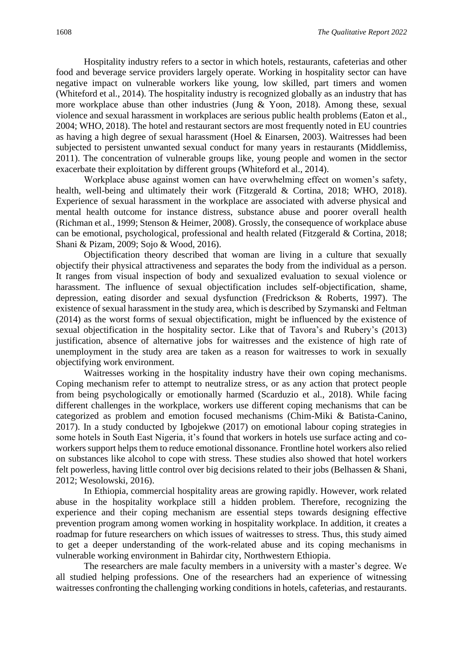Hospitality industry refers to a sector in which hotels, restaurants, cafeterias and other food and beverage service providers largely operate. Working in hospitality sector can have negative impact on vulnerable workers like young, low skilled, part timers and women (Whiteford et al., 2014). The hospitality industry is recognized globally as an industry that has more workplace abuse than other industries (Jung & Yoon, 2018). Among these, sexual violence and sexual harassment in workplaces are serious public health problems (Eaton et al., 2004; WHO, 2018). The hotel and restaurant sectors are most frequently noted in EU countries as having a high degree of sexual harassment (Hoel & Einarsen, 2003). Waitresses had been subjected to persistent unwanted sexual conduct for many years in restaurants (Middlemiss, 2011). The concentration of vulnerable groups like, young people and women in the sector exacerbate their exploitation by different groups (Whiteford et al., 2014).

Workplace abuse against women can have overwhelming effect on women's safety, health, well-being and ultimately their work (Fitzgerald & Cortina, 2018; WHO, 2018). Experience of sexual harassment in the workplace are associated with adverse physical and mental health outcome for instance distress, substance abuse and poorer overall health (Richman et al., 1999; Stenson & Heimer, 2008). Grossly, the consequence of workplace abuse can be emotional, psychological, professional and health related (Fitzgerald & Cortina, 2018; Shani & Pizam, 2009; Sojo & Wood, 2016).

Objectification theory described that woman are living in a culture that sexually objectify their physical attractiveness and separates the body from the individual as a person. It ranges from visual inspection of body and sexualized evaluation to sexual violence or harassment. The influence of sexual objectification includes self-objectification, shame, depression, eating disorder and sexual dysfunction (Fredrickson & Roberts, 1997). The existence of sexual harassment in the study area, which is described by Szymanski and Feltman (2014) as the worst forms of sexual objectification, might be influenced by the existence of sexual objectification in the hospitality sector. Like that of Tavora's and Rubery's (2013) justification, absence of alternative jobs for waitresses and the existence of high rate of unemployment in the study area are taken as a reason for waitresses to work in sexually objectifying work environment.

Waitresses working in the hospitality industry have their own coping mechanisms. Coping mechanism refer to attempt to neutralize stress, or as any action that protect people from being psychologically or emotionally harmed (Scarduzio et al., 2018). While facing different challenges in the workplace, workers use different coping mechanisms that can be categorized as problem and emotion focused mechanisms (Chim-Miki & Batista-Canino, 2017). In a study conducted by Igbojekwe (2017) on emotional labour coping strategies in some hotels in South East Nigeria, it's found that workers in hotels use surface acting and coworkers support helps them to reduce emotional dissonance. Frontline hotel workers also relied on substances like alcohol to cope with stress. These studies also showed that hotel workers felt powerless, having little control over big decisions related to their jobs (Belhassen & Shani, 2012; Wesolowski, 2016).

In Ethiopia, commercial hospitality areas are growing rapidly. However, work related abuse in the hospitality workplace still a hidden problem. Therefore, recognizing the experience and their coping mechanism are essential steps towards designing effective prevention program among women working in hospitality workplace. In addition, it creates a roadmap for future researchers on which issues of waitresses to stress. Thus, this study aimed to get a deeper understanding of the work-related abuse and its coping mechanisms in vulnerable working environment in Bahirdar city, Northwestern Ethiopia.

The researchers are male faculty members in a university with a master's degree. We all studied helping professions. One of the researchers had an experience of witnessing waitresses confronting the challenging working conditions in hotels, cafeterias, and restaurants.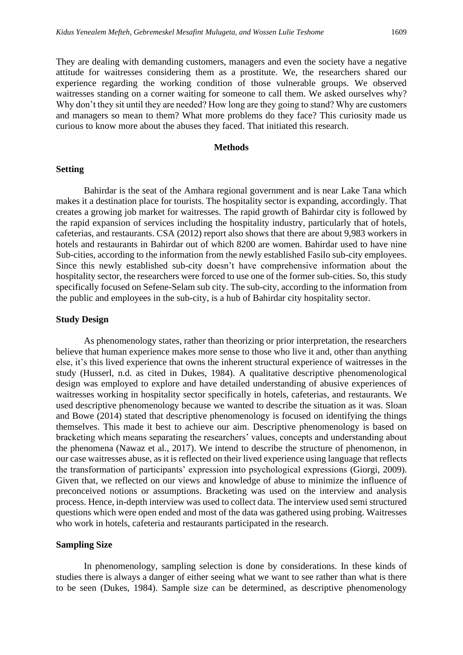They are dealing with demanding customers, managers and even the society have a negative attitude for waitresses considering them as a prostitute. We, the researchers shared our experience regarding the working condition of those vulnerable groups. We observed waitresses standing on a corner waiting for someone to call them. We asked ourselves why? Why don't they sit until they are needed? How long are they going to stand? Why are customers and managers so mean to them? What more problems do they face? This curiosity made us curious to know more about the abuses they faced. That initiated this research.

#### **Methods**

#### **Setting**

Bahirdar is the seat of the Amhara regional government and is near Lake Tana which makes it a destination place for tourists. The hospitality sector is expanding, accordingly. That creates a growing job market for waitresses. The rapid growth of Bahirdar city is followed by the rapid expansion of services including the hospitality industry, particularly that of hotels, cafeterias, and restaurants. CSA (2012) report also shows that there are about 9,983 workers in hotels and restaurants in Bahirdar out of which 8200 are women. Bahirdar used to have nine Sub-cities, according to the information from the newly established Fasilo sub-city employees. Since this newly established sub-city doesn't have comprehensive information about the hospitality sector, the researchers were forced to use one of the former sub-cities. So, this study specifically focused on Sefene-Selam sub city. The sub-city, according to the information from the public and employees in the sub-city, is a hub of Bahirdar city hospitality sector.

#### **Study Design**

As phenomenology states, rather than theorizing or prior interpretation, the researchers believe that human experience makes more sense to those who live it and, other than anything else, it's this lived experience that owns the inherent structural experience of waitresses in the study (Husserl, n.d. as cited in Dukes, 1984). A qualitative descriptive phenomenological design was employed to explore and have detailed understanding of abusive experiences of waitresses working in hospitality sector specifically in hotels, cafeterias, and restaurants. We used descriptive phenomenology because we wanted to describe the situation as it was. Sloan and Bowe (2014) stated that descriptive phenomenology is focused on identifying the things themselves. This made it best to achieve our aim. Descriptive phenomenology is based on bracketing which means separating the researchers' values, concepts and understanding about the phenomena (Nawaz et al., 2017). We intend to describe the structure of phenomenon, in our case waitresses abuse, as it is reflected on their lived experience using language that reflects the transformation of participants' expression into psychological expressions (Giorgi, 2009). Given that, we reflected on our views and knowledge of abuse to minimize the influence of preconceived notions or assumptions. Bracketing was used on the interview and analysis process. Hence, in-depth interview was used to collect data. The interview used semi structured questions which were open ended and most of the data was gathered using probing. Waitresses who work in hotels, cafeteria and restaurants participated in the research.

#### **Sampling Size**

In phenomenology, sampling selection is done by considerations. In these kinds of studies there is always a danger of either seeing what we want to see rather than what is there to be seen (Dukes, 1984). Sample size can be determined, as descriptive phenomenology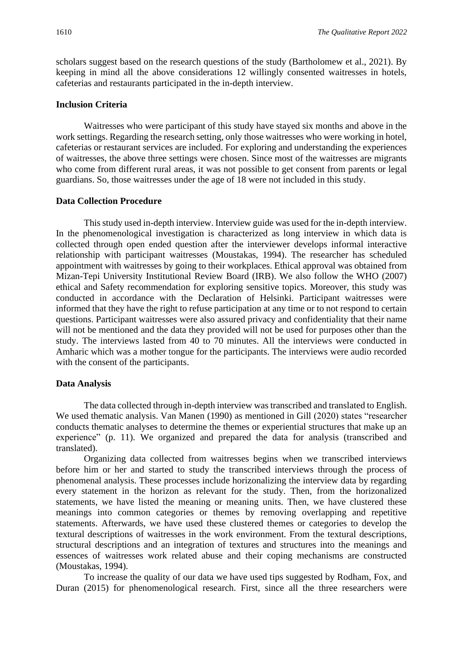scholars suggest based on the research questions of the study (Bartholomew et al., 2021). By keeping in mind all the above considerations 12 willingly consented waitresses in hotels, cafeterias and restaurants participated in the in-depth interview.

#### **Inclusion Criteria**

Waitresses who were participant of this study have stayed six months and above in the work settings. Regarding the research setting, only those waitresses who were working in hotel, cafeterias or restaurant services are included. For exploring and understanding the experiences of waitresses, the above three settings were chosen. Since most of the waitresses are migrants who come from different rural areas, it was not possible to get consent from parents or legal guardians. So, those waitresses under the age of 18 were not included in this study.

#### **Data Collection Procedure**

This study used in-depth interview. Interview guide was used for the in-depth interview. In the phenomenological investigation is characterized as long interview in which data is collected through open ended question after the interviewer develops informal interactive relationship with participant waitresses (Moustakas, 1994). The researcher has scheduled appointment with waitresses by going to their workplaces. Ethical approval was obtained from Mizan-Tepi University Institutional Review Board (IRB). We also follow the WHO (2007) ethical and Safety recommendation for exploring sensitive topics. Moreover, this study was conducted in accordance with the Declaration of Helsinki. Participant waitresses were informed that they have the right to refuse participation at any time or to not respond to certain questions. Participant waitresses were also assured privacy and confidentiality that their name will not be mentioned and the data they provided will not be used for purposes other than the study. The interviews lasted from 40 to 70 minutes. All the interviews were conducted in Amharic which was a mother tongue for the participants. The interviews were audio recorded with the consent of the participants.

#### **Data Analysis**

The data collected through in-depth interview was transcribed and translated to English. We used thematic analysis. Van Manen (1990) as mentioned in Gill (2020) states "researcher conducts thematic analyses to determine the themes or experiential structures that make up an experience" (p. 11). We organized and prepared the data for analysis (transcribed and translated).

Organizing data collected from waitresses begins when we transcribed interviews before him or her and started to study the transcribed interviews through the process of phenomenal analysis. These processes include horizonalizing the interview data by regarding every statement in the horizon as relevant for the study. Then, from the horizonalized statements, we have listed the meaning or meaning units. Then, we have clustered these meanings into common categories or themes by removing overlapping and repetitive statements. Afterwards, we have used these clustered themes or categories to develop the textural descriptions of waitresses in the work environment. From the textural descriptions, structural descriptions and an integration of textures and structures into the meanings and essences of waitresses work related abuse and their coping mechanisms are constructed (Moustakas, 1994).

To increase the quality of our data we have used tips suggested by Rodham, Fox, and Duran (2015) for phenomenological research. First, since all the three researchers were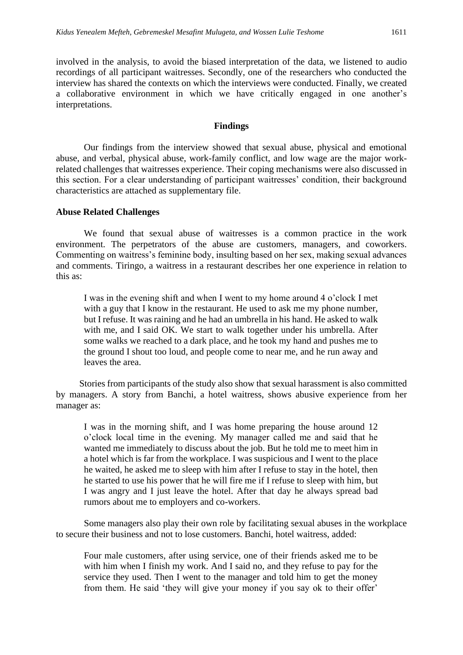involved in the analysis, to avoid the biased interpretation of the data, we listened to audio recordings of all participant waitresses. Secondly, one of the researchers who conducted the interview has shared the contexts on which the interviews were conducted. Finally, we created a collaborative environment in which we have critically engaged in one another's interpretations.

#### **Findings**

Our findings from the interview showed that sexual abuse, physical and emotional abuse, and verbal, physical abuse, work-family conflict, and low wage are the major workrelated challenges that waitresses experience. Their coping mechanisms were also discussed in this section. For a clear understanding of participant waitresses' condition, their background characteristics are attached as supplementary file.

#### **Abuse Related Challenges**

We found that sexual abuse of waitresses is a common practice in the work environment. The perpetrators of the abuse are customers, managers, and coworkers. Commenting on waitress's feminine body, insulting based on her sex, making sexual advances and comments. Tiringo, a waitress in a restaurant describes her one experience in relation to this as:

I was in the evening shift and when I went to my home around 4 o'clock I met with a guy that I know in the restaurant. He used to ask me my phone number, but I refuse. It was raining and he had an umbrella in his hand. He asked to walk with me, and I said OK. We start to walk together under his umbrella. After some walks we reached to a dark place, and he took my hand and pushes me to the ground I shout too loud, and people come to near me, and he run away and leaves the area.

 Stories from participants of the study also show that sexual harassment is also committed by managers. A story from Banchi, a hotel waitress, shows abusive experience from her manager as:

I was in the morning shift, and I was home preparing the house around 12 o'clock local time in the evening. My manager called me and said that he wanted me immediately to discuss about the job. But he told me to meet him in a hotel which is far from the workplace. I was suspicious and I went to the place he waited, he asked me to sleep with him after I refuse to stay in the hotel, then he started to use his power that he will fire me if I refuse to sleep with him, but I was angry and I just leave the hotel. After that day he always spread bad rumors about me to employers and co-workers.

Some managers also play their own role by facilitating sexual abuses in the workplace to secure their business and not to lose customers. Banchi, hotel waitress, added:

Four male customers, after using service, one of their friends asked me to be with him when I finish my work. And I said no, and they refuse to pay for the service they used. Then I went to the manager and told him to get the money from them. He said 'they will give your money if you say ok to their offer'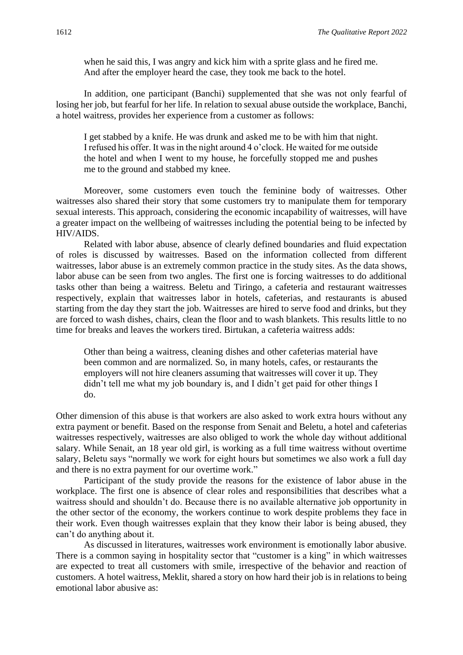when he said this, I was angry and kick him with a sprite glass and he fired me. And after the employer heard the case, they took me back to the hotel.

In addition, one participant (Banchi) supplemented that she was not only fearful of losing her job, but fearful for her life. In relation to sexual abuse outside the workplace, Banchi, a hotel waitress, provides her experience from a customer as follows:

I get stabbed by a knife. He was drunk and asked me to be with him that night. I refused his offer. It was in the night around 4 o'clock. He waited for me outside the hotel and when I went to my house, he forcefully stopped me and pushes me to the ground and stabbed my knee.

Moreover, some customers even touch the feminine body of waitresses. Other waitresses also shared their story that some customers try to manipulate them for temporary sexual interests. This approach, considering the economic incapability of waitresses, will have a greater impact on the wellbeing of waitresses including the potential being to be infected by HIV/AIDS.

Related with labor abuse, absence of clearly defined boundaries and fluid expectation of roles is discussed by waitresses. Based on the information collected from different waitresses, labor abuse is an extremely common practice in the study sites. As the data shows, labor abuse can be seen from two angles. The first one is forcing waitresses to do additional tasks other than being a waitress. Beletu and Tiringo, a cafeteria and restaurant waitresses respectively, explain that waitresses labor in hotels, cafeterias, and restaurants is abused starting from the day they start the job. Waitresses are hired to serve food and drinks, but they are forced to wash dishes, chairs, clean the floor and to wash blankets. This results little to no time for breaks and leaves the workers tired. Birtukan, a cafeteria waitress adds:

Other than being a waitress, cleaning dishes and other cafeterias material have been common and are normalized. So, in many hotels, cafes, or restaurants the employers will not hire cleaners assuming that waitresses will cover it up. They didn't tell me what my job boundary is, and I didn't get paid for other things I do.

Other dimension of this abuse is that workers are also asked to work extra hours without any extra payment or benefit. Based on the response from Senait and Beletu, a hotel and cafeterias waitresses respectively, waitresses are also obliged to work the whole day without additional salary. While Senait, an 18 year old girl, is working as a full time waitress without overtime salary, Beletu says "normally we work for eight hours but sometimes we also work a full day and there is no extra payment for our overtime work."

Participant of the study provide the reasons for the existence of labor abuse in the workplace. The first one is absence of clear roles and responsibilities that describes what a waitress should and shouldn't do. Because there is no available alternative job opportunity in the other sector of the economy, the workers continue to work despite problems they face in their work. Even though waitresses explain that they know their labor is being abused, they can't do anything about it.

As discussed in literatures, waitresses work environment is emotionally labor abusive. There is a common saying in hospitality sector that "customer is a king" in which waitresses are expected to treat all customers with smile, irrespective of the behavior and reaction of customers. A hotel waitress, Meklit, shared a story on how hard their job is in relations to being emotional labor abusive as: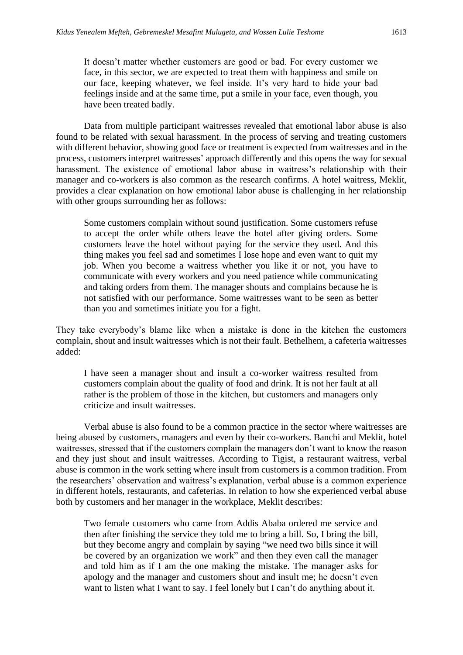It doesn't matter whether customers are good or bad. For every customer we face, in this sector, we are expected to treat them with happiness and smile on our face, keeping whatever, we feel inside. It's very hard to hide your bad feelings inside and at the same time, put a smile in your face, even though, you have been treated badly.

Data from multiple participant waitresses revealed that emotional labor abuse is also found to be related with sexual harassment. In the process of serving and treating customers with different behavior, showing good face or treatment is expected from waitresses and in the process, customers interpret waitresses' approach differently and this opens the way for sexual harassment. The existence of emotional labor abuse in waitress's relationship with their manager and co-workers is also common as the research confirms. A hotel waitress, Meklit, provides a clear explanation on how emotional labor abuse is challenging in her relationship with other groups surrounding her as follows:

Some customers complain without sound justification. Some customers refuse to accept the order while others leave the hotel after giving orders. Some customers leave the hotel without paying for the service they used. And this thing makes you feel sad and sometimes I lose hope and even want to quit my job. When you become a waitress whether you like it or not, you have to communicate with every workers and you need patience while communicating and taking orders from them. The manager shouts and complains because he is not satisfied with our performance. Some waitresses want to be seen as better than you and sometimes initiate you for a fight.

They take everybody's blame like when a mistake is done in the kitchen the customers complain, shout and insult waitresses which is not their fault. Bethelhem, a cafeteria waitresses added:

I have seen a manager shout and insult a co-worker waitress resulted from customers complain about the quality of food and drink. It is not her fault at all rather is the problem of those in the kitchen, but customers and managers only criticize and insult waitresses.

Verbal abuse is also found to be a common practice in the sector where waitresses are being abused by customers, managers and even by their co-workers. Banchi and Meklit, hotel waitresses, stressed that if the customers complain the managers don't want to know the reason and they just shout and insult waitresses. According to Tigist, a restaurant waitress, verbal abuse is common in the work setting where insult from customers is a common tradition. From the researchers' observation and waitress's explanation, verbal abuse is a common experience in different hotels, restaurants, and cafeterias. In relation to how she experienced verbal abuse both by customers and her manager in the workplace, Meklit describes:

Two female customers who came from Addis Ababa ordered me service and then after finishing the service they told me to bring a bill. So, I bring the bill, but they become angry and complain by saying "we need two bills since it will be covered by an organization we work" and then they even call the manager and told him as if I am the one making the mistake. The manager asks for apology and the manager and customers shout and insult me; he doesn't even want to listen what I want to say. I feel lonely but I can't do anything about it.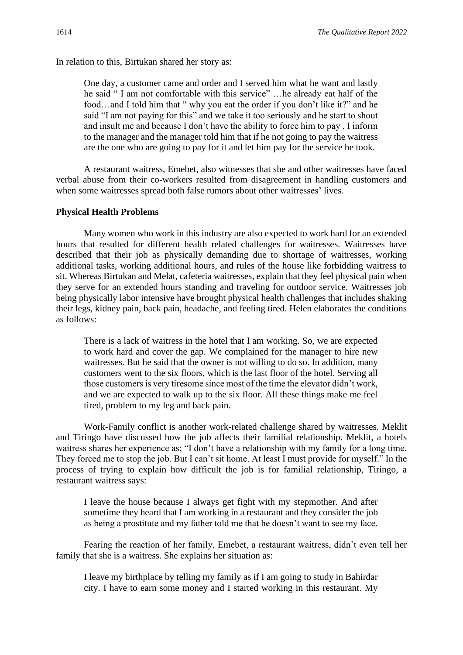In relation to this, Birtukan shared her story as:

One day, a customer came and order and I served him what he want and lastly he said " I am not comfortable with this service" …he already eat half of the food…and I told him that " why you eat the order if you don't like it?" and he said "I am not paying for this" and we take it too seriously and he start to shout and insult me and because I don't have the ability to force him to pay , I inform to the manager and the manager told him that if he not going to pay the waitress are the one who are going to pay for it and let him pay for the service he took.

A restaurant waitress, Emebet, also witnesses that she and other waitresses have faced verbal abuse from their co-workers resulted from disagreement in handling customers and when some waitresses spread both false rumors about other waitresses' lives.

#### **Physical Health Problems**

Many women who work in this industry are also expected to work hard for an extended hours that resulted for different health related challenges for waitresses. Waitresses have described that their job as physically demanding due to shortage of waitresses, working additional tasks, working additional hours, and rules of the house like forbidding waitress to sit. Whereas Birtukan and Melat, cafeteria waitresses, explain that they feel physical pain when they serve for an extended hours standing and traveling for outdoor service. Waitresses job being physically labor intensive have brought physical health challenges that includes shaking their legs, kidney pain, back pain, headache, and feeling tired. Helen elaborates the conditions as follows:

There is a lack of waitress in the hotel that I am working. So, we are expected to work hard and cover the gap. We complained for the manager to hire new waitresses. But he said that the owner is not willing to do so. In addition, many customers went to the six floors, which is the last floor of the hotel. Serving all those customers is very tiresome since most of the time the elevator didn't work, and we are expected to walk up to the six floor. All these things make me feel tired, problem to my leg and back pain.

Work-Family conflict is another work-related challenge shared by waitresses. Meklit and Tiringo have discussed how the job affects their familial relationship. Meklit, a hotels waitress shares her experience as; "I don't have a relationship with my family for a long time. They forced me to stop the job. But I can't sit home. At least I must provide for myself." In the process of trying to explain how difficult the job is for familial relationship, Tiringo, a restaurant waitress says:

I leave the house because I always get fight with my stepmother. And after sometime they heard that I am working in a restaurant and they consider the job as being a prostitute and my father told me that he doesn't want to see my face.

Fearing the reaction of her family, Emebet, a restaurant waitress, didn't even tell her family that she is a waitress. She explains her situation as:

I leave my birthplace by telling my family as if I am going to study in Bahirdar city. I have to earn some money and I started working in this restaurant. My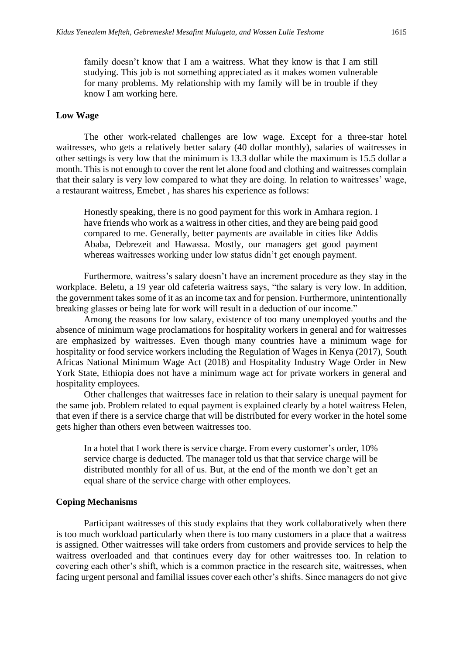family doesn't know that I am a waitress. What they know is that I am still studying. This job is not something appreciated as it makes women vulnerable for many problems. My relationship with my family will be in trouble if they know I am working here.

#### **Low Wage**

The other work-related challenges are low wage. Except for a three-star hotel waitresses, who gets a relatively better salary (40 dollar monthly), salaries of waitresses in other settings is very low that the minimum is 13.3 dollar while the maximum is 15.5 dollar a month. This is not enough to cover the rent let alone food and clothing and waitresses complain that their salary is very low compared to what they are doing. In relation to waitresses' wage, a restaurant waitress, Emebet , has shares his experience as follows:

Honestly speaking, there is no good payment for this work in Amhara region. I have friends who work as a waitress in other cities, and they are being paid good compared to me. Generally, better payments are available in cities like Addis Ababa, Debrezeit and Hawassa. Mostly, our managers get good payment whereas waitresses working under low status didn't get enough payment.

Furthermore, waitress's salary doesn't have an increment procedure as they stay in the workplace. Beletu, a 19 year old cafeteria waitress says, "the salary is very low. In addition, the government takes some of it as an income tax and for pension. Furthermore, unintentionally breaking glasses or being late for work will result in a deduction of our income."

Among the reasons for low salary, existence of too many unemployed youths and the absence of minimum wage proclamations for hospitality workers in general and for waitresses are emphasized by waitresses. Even though many countries have a minimum wage for hospitality or food service workers including the Regulation of Wages in Kenya (2017), South Africas National Minimum Wage Act (2018) and Hospitality Industry Wage Order in New York State, Ethiopia does not have a minimum wage act for private workers in general and hospitality employees.

Other challenges that waitresses face in relation to their salary is unequal payment for the same job. Problem related to equal payment is explained clearly by a hotel waitress Helen, that even if there is a service charge that will be distributed for every worker in the hotel some gets higher than others even between waitresses too.

In a hotel that I work there is service charge. From every customer's order, 10% service charge is deducted. The manager told us that that service charge will be distributed monthly for all of us. But, at the end of the month we don't get an equal share of the service charge with other employees.

#### **Coping Mechanisms**

Participant waitresses of this study explains that they work collaboratively when there is too much workload particularly when there is too many customers in a place that a waitress is assigned. Other waitresses will take orders from customers and provide services to help the waitress overloaded and that continues every day for other waitresses too. In relation to covering each other's shift, which is a common practice in the research site, waitresses, when facing urgent personal and familial issues cover each other's shifts. Since managers do not give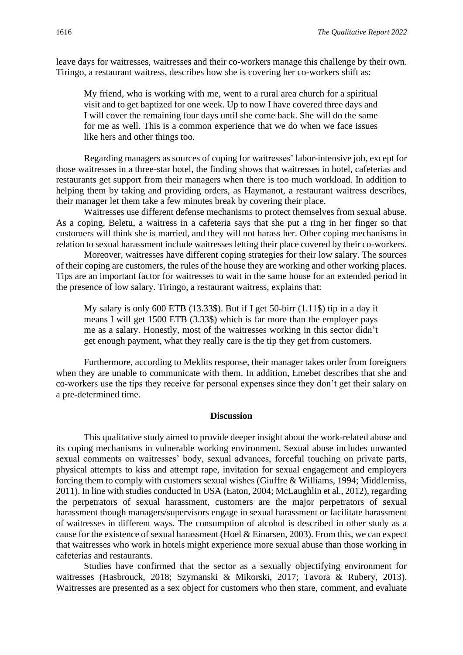leave days for waitresses, waitresses and their co-workers manage this challenge by their own. Tiringo, a restaurant waitress, describes how she is covering her co-workers shift as:

My friend, who is working with me, went to a rural area church for a spiritual visit and to get baptized for one week. Up to now I have covered three days and I will cover the remaining four days until she come back. She will do the same for me as well. This is a common experience that we do when we face issues like hers and other things too.

Regarding managers as sources of coping for waitresses' labor-intensive job, except for those waitresses in a three-star hotel, the finding shows that waitresses in hotel, cafeterias and restaurants get support from their managers when there is too much workload. In addition to helping them by taking and providing orders, as Haymanot, a restaurant waitress describes, their manager let them take a few minutes break by covering their place.

Waitresses use different defense mechanisms to protect themselves from sexual abuse. As a coping, Beletu, a waitress in a cafeteria says that she put a ring in her finger so that customers will think she is married, and they will not harass her. Other coping mechanisms in relation to sexual harassment include waitresses letting their place covered by their co-workers.

Moreover, waitresses have different coping strategies for their low salary. The sources of their coping are customers, the rules of the house they are working and other working places. Tips are an important factor for waitresses to wait in the same house for an extended period in the presence of low salary. Tiringo, a restaurant waitress, explains that:

My salary is only 600 ETB (13.33\$). But if I get 50-birr (1.11\$) tip in a day it means I will get 1500 ETB (3.33\$) which is far more than the employer pays me as a salary. Honestly, most of the waitresses working in this sector didn't get enough payment, what they really care is the tip they get from customers.

Furthermore, according to Meklits response, their manager takes order from foreigners when they are unable to communicate with them. In addition, Emebet describes that she and co-workers use the tips they receive for personal expenses since they don't get their salary on a pre-determined time.

#### **Discussion**

This qualitative study aimed to provide deeper insight about the work-related abuse and its coping mechanisms in vulnerable working environment. Sexual abuse includes unwanted sexual comments on waitresses' body, sexual advances, forceful touching on private parts, physical attempts to kiss and attempt rape, invitation for sexual engagement and employers forcing them to comply with customers sexual wishes (Giuffre & Williams, 1994; Middlemiss, 2011). In line with studies conducted in USA (Eaton, 2004; McLaughlin et al., 2012), regarding the perpetrators of sexual harassment, customers are the major perpetrators of sexual harassment though managers/supervisors engage in sexual harassment or facilitate harassment of waitresses in different ways. The consumption of alcohol is described in other study as a cause for the existence of sexual harassment (Hoel & Einarsen, 2003). From this, we can expect that waitresses who work in hotels might experience more sexual abuse than those working in cafeterias and restaurants.

Studies have confirmed that the sector as a sexually objectifying environment for waitresses (Hasbrouck, 2018; Szymanski & Mikorski, 2017; Tavora & Rubery, 2013). Waitresses are presented as a sex object for customers who then stare, comment, and evaluate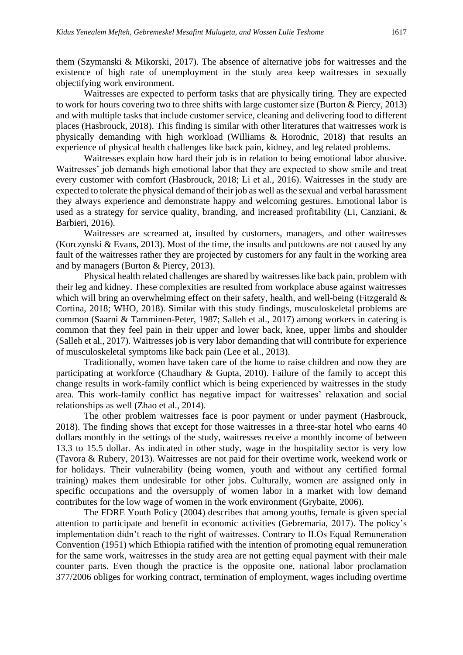them (Szymanski & Mikorski, 2017). The absence of alternative jobs for waitresses and the existence of high rate of unemployment in the study area keep waitresses in sexually objectifying work environment.

Waitresses are expected to perform tasks that are physically tiring. They are expected to work for hours covering two to three shifts with large customer size (Burton & Piercy, 2013) and with multiple tasks that include customer service, cleaning and delivering food to different places (Hasbrouck, 2018). This finding is similar with other literatures that waitresses work is physically demanding with high workload (Williams & Horodnic, 2018) that results an experience of physical health challenges like back pain, kidney, and leg related problems.

Waitresses explain how hard their job is in relation to being emotional labor abusive. Waitresses' job demands high emotional labor that they are expected to show smile and treat every customer with comfort (Hasbrouck, 2018; Li et al., 2016). Waitresses in the study are expected to tolerate the physical demand of their job as well as the sexual and verbal harassment they always experience and demonstrate happy and welcoming gestures. Emotional labor is used as a strategy for service quality, branding, and increased profitability (Li, Canziani, & Barbieri, 2016).

Waitresses are screamed at, insulted by customers, managers, and other waitresses (Korczynski & Evans, 2013). Most of the time, the insults and putdowns are not caused by any fault of the waitresses rather they are projected by customers for any fault in the working area and by managers (Burton & Piercy, 2013).

Physical health related challenges are shared by waitresses like back pain, problem with their leg and kidney. These complexities are resulted from workplace abuse against waitresses which will bring an overwhelming effect on their safety, health, and well-being (Fitzgerald & Cortina, 2018; WHO, 2018). Similar with this study findings, musculoskeletal problems are common (Saarni & Tamminen-Peter, 1987; Salleh et al., 2017) among workers in catering is common that they feel pain in their upper and lower back, knee, upper limbs and shoulder (Salleh et al., 2017). Waitresses job is very labor demanding that will contribute for experience of musculoskeletal symptoms like back pain (Lee et al., 2013).

Traditionally, women have taken care of the home to raise children and now they are participating at workforce (Chaudhary & Gupta, 2010). Failure of the family to accept this change results in work-family conflict which is being experienced by waitresses in the study area. This work-family conflict has negative impact for waitresses' relaxation and social relationships as well (Zhao et al., 2014).

The other problem waitresses face is poor payment or under payment (Hasbrouck, 2018). The finding shows that except for those waitresses in a three-star hotel who earns 40 dollars monthly in the settings of the study, waitresses receive a monthly income of between 13.3 to 15.5 dollar. As indicated in other study, wage in the hospitality sector is very low (Tavora & Rubery, 2013). Waitresses are not paid for their overtime work, weekend work or for holidays. Their vulnerability (being women, youth and without any certified formal training) makes them undesirable for other jobs. Culturally, women are assigned only in specific occupations and the oversupply of women labor in a market with low demand contributes for the low wage of women in the work environment (Grybaite, 2006).

The FDRE Youth Policy (2004) describes that among youths, female is given special attention to participate and benefit in economic activities (Gebremaria, 2017). The policy's implementation didn't reach to the right of waitresses. Contrary to ILOs Equal Remuneration Convention (1951) which Ethiopia ratified with the intention of promoting equal remuneration for the same work, waitresses in the study area are not getting equal payment with their male counter parts. Even though the practice is the opposite one, national labor proclamation 377/2006 obliges for working contract, termination of employment, wages including overtime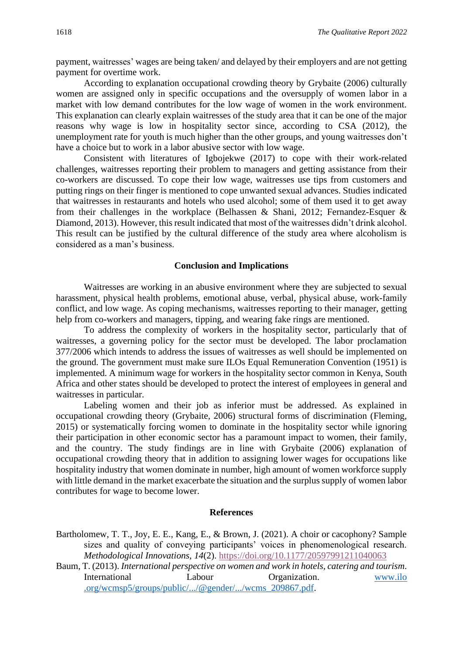payment, waitresses' wages are being taken/ and delayed by their employers and are not getting payment for overtime work.

According to explanation occupational crowding theory by Grybaite (2006) culturally women are assigned only in specific occupations and the oversupply of women labor in a market with low demand contributes for the low wage of women in the work environment. This explanation can clearly explain waitresses of the study area that it can be one of the major reasons why wage is low in hospitality sector since, according to CSA (2012), the unemployment rate for youth is much higher than the other groups, and young waitresses don't have a choice but to work in a labor abusive sector with low wage.

Consistent with literatures of Igbojekwe (2017) to cope with their work-related challenges, waitresses reporting their problem to managers and getting assistance from their co-workers are discussed. To cope their low wage, waitresses use tips from customers and putting rings on their finger is mentioned to cope unwanted sexual advances. Studies indicated that waitresses in restaurants and hotels who used alcohol; some of them used it to get away from their challenges in the workplace (Belhassen & Shani, 2012; Fernandez-Esquer & Diamond, 2013). However, this result indicated that most of the waitresses didn't drink alcohol. This result can be justified by the cultural difference of the study area where alcoholism is considered as a man's business.

#### **Conclusion and Implications**

Waitresses are working in an abusive environment where they are subjected to sexual harassment, physical health problems, emotional abuse, verbal, physical abuse, work-family conflict, and low wage. As coping mechanisms, waitresses reporting to their manager, getting help from co-workers and managers, tipping, and wearing fake rings are mentioned.

To address the complexity of workers in the hospitality sector, particularly that of waitresses, a governing policy for the sector must be developed. The labor proclamation 377/2006 which intends to address the issues of waitresses as well should be implemented on the ground. The government must make sure ILOs Equal Remuneration Convention (1951) is implemented. A minimum wage for workers in the hospitality sector common in Kenya, South Africa and other states should be developed to protect the interest of employees in general and waitresses in particular.

Labeling women and their job as inferior must be addressed. As explained in occupational crowding theory (Grybaite, 2006) structural forms of discrimination (Fleming, 2015) or systematically forcing women to dominate in the hospitality sector while ignoring their participation in other economic sector has a paramount impact to women, their family, and the country. The study findings are in line with Grybaite (2006) explanation of occupational crowding theory that in addition to assigning lower wages for occupations like hospitality industry that women dominate in number, high amount of women workforce supply with little demand in the market exacerbate the situation and the surplus supply of women labor contributes for wage to become lower.

#### **References**

Bartholomew, T. T., Joy, E. E., Kang, E., & Brown, J. (2021). A choir or cacophony? Sample sizes and quality of conveying participants' voices in phenomenological research. *Methodological Innovations, 14*(2). <https://doi.org/10.1177/20597991211040063>

Baum, T. (2013). *International perspective on women and work in hotels, catering and tourism*. International Labour Organization. www.ilo .org/wcmsp5/groups/public/.../@gender/.../wcms\_209867.pdf.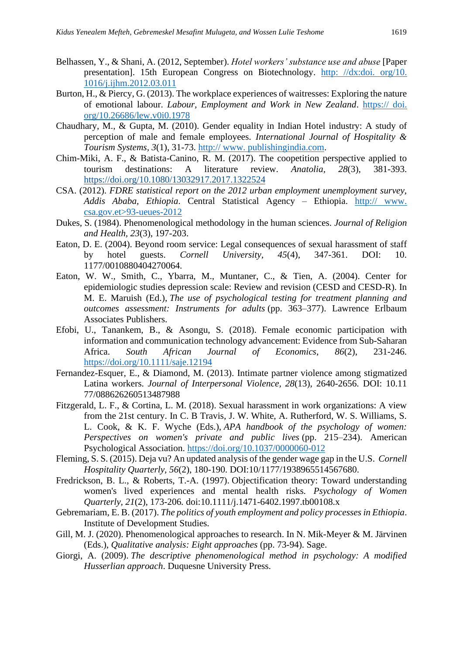- Belhassen, Y., & Shani, A. (2012, September). *Hotel workers' substance use and abuse* [Paper presentation]. 15th European Congress on Biotechnology. [http: //dx:doi. org/10.](http://dx:doi.org/10.1016/j.ijhm.2012.03.011)  [1016/j.ijhm.2012.03.011](http://dx:doi.org/10.1016/j.ijhm.2012.03.011)
- Burton, H., & Piercy, G. (2013). The workplace experiences of waitresses: Exploring the nature of emotional labour. *Labour, Employment and Work in New Zealand*. https:// doi. org/10.26686/lew.v0i0.1978
- Chaudhary, M., & Gupta, M. (2010). Gender equality in Indian Hotel industry: A study of perception of male and female employees. *International Journal of Hospitality & Tourism Systems, 3*(1), 31-73. http:// www. publishingindia.com.
- Chim-Miki, A. F., & Batista-Canino, R. M. (2017). The coopetition perspective applied to tourism destinations: A literature review. *Anatolia, 28*(3), 381-393. <https://doi.org/10.1080/13032917.2017.1322524>
- CSA. (2012). *FDRE statistical report on the 2012 urban employment unemployment survey, Addis Ababa, Ethiopia*. Central Statistical Agency – Ethiopia. http:// www. csa.gov.et>93-ueues-2012
- Dukes, S. (1984). Phenomenological methodology in the human sciences. *Journal of Religion and Health, 23*(3), 197-203.
- Eaton, D. E. (2004). Beyond room service: Legal consequences of sexual harassment of staff by hotel guests. *Cornell University, 45*(4), 347-361. DOI: 10. 1177/0010880404270064.
- Eaton, W. W., Smith, C., Ybarra, M., Muntaner, C., & Tien, A. (2004). Center for epidemiologic studies depression scale: Review and revision (CESD and CESD-R). In M. E. Maruish (Ed.), *The use of psychological testing for treatment planning and outcomes assessment: Instruments for adults* (pp. 363–377). Lawrence Erlbaum Associates Publishers.
- Efobi, U., Tanankem, B., & Asongu, S. (2018). Female economic participation with information and communication technology advancement: Evidence from Sub-Saharan Africa. *South African Journal of Economics, 86*(2), 231-246. <https://doi.org/10.1111/saje.12194>
- Fernandez-Esquer, E., & Diamond, M. (2013). Intimate partner violence among stigmatized Latina workers. *Journal of Interpersonal Violence, 28*(13), 2640-2656. DOI: 10.11 77/088626260513487988
- Fitzgerald, L. F., & Cortina, L. M. (2018). Sexual harassment in work organizations: A view from the 21st century. In C. B Travis, J. W. White, A. Rutherford, W. S. Williams, S. L. Cook, & K. F. Wyche (Eds.), *APA handbook of the psychology of women: Perspectives on women's private and public lives* (pp. 215–234). American Psychological Association. [https://doi.org/10.1037/0000060-012](https://psycnet.apa.org/doi/10.1037/0000060-012)
- Fleming, S. S. (2015). Deja vu? An updated analysis of the gender wage gap in the U.S. *Cornell Hospitality Quarterly, 56*(2), 180-190. DOI:10/1177/1938965514567680.
- Fredrickson, B. L., & Roberts, T.-A. (1997). Objectification theory: Toward understanding women's lived experiences and mental health risks*. Psychology of Women Quarterly, 21*(2), 173-206*.* doi:10.1111/j.1471-6402.1997.tb00108.x
- Gebremariam, E. B. (2017). *The politics of youth employment and policy processes in Ethiopia*. Institute of Development Studies.
- Gill, M. J. (2020). Phenomenological approaches to research. In N. Mik-Meyer & M. Järvinen (Eds.), *Qualitative analysis: Eight approaches* (pp. 73-94). Sage.
- Giorgi, A. (2009). *The descriptive phenomenological method in psychology: A modified Husserlian approach*. Duquesne University Press.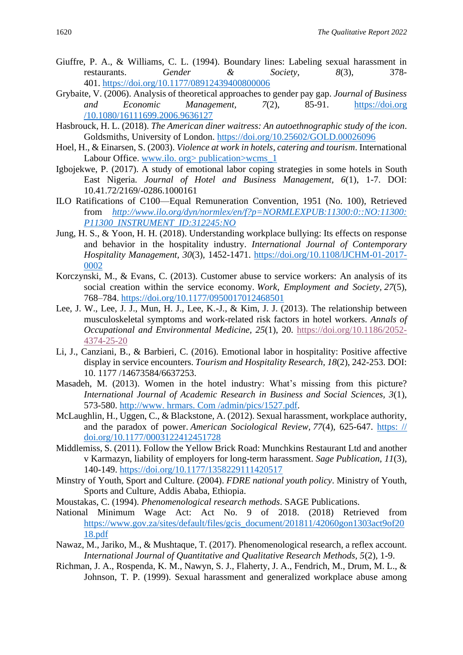- Giuffre, P. A., & Williams, C. L. (1994). Boundary lines: Labeling sexual harassment in restaurants. *Gender & Society, 8*(3), 378- 401. <https://doi.org/10.1177/08912439400800006>
- Grybaite, V. (2006). Analysis of theoretical approaches to gender pay gap. *Journal of Business and Economic Management, 7*(2), 85-91. https://doi.org /10.1080/16111699.2006.9636127
- Hasbrouck, H. L. (2018). *The American diner waitress: An autoethnographic study of the icon*. Goldsmiths, University of London.<https://doi.org/10.25602/GOLD.00026096>
- Hoel, H., & Einarsen, S. (2003). *Violence at work in hotels, catering and tourism*. International Labour Office. www.ilo. org> publication>wcms 1
- Igbojekwe, P. (2017). A study of emotional labor coping strategies in some hotels in South East Nigeria. *Journal of Hotel and Business Management, 6*(1), 1-7. DOI: 10.41.72/2169/-0286.1000161
- ILO Ratifications of C100—Equal Remuneration Convention, 1951 (No. 100), Retrieved from *[http://www.ilo.org/dyn/normlex/en/f?p=NORMLEXPUB:11300:0::NO:11300:](http://www.ilo.org/dyn/normlex/en/f%3fp%3dNORMLEXPUB:11300:0::NO:11300:P11300_INSTRUMENT_ID:312245:NO) [P11300\\_INSTRUMENT\\_ID:312245:NO](http://www.ilo.org/dyn/normlex/en/f%3fp%3dNORMLEXPUB:11300:0::NO:11300:P11300_INSTRUMENT_ID:312245:NO)*
- Jung, H. S., & Yoon, H. H. (2018). Understanding workplace bullying: Its effects on response and behavior in the hospitality industry. *International Journal of Contemporary Hospitality Management, 30*(3), 1452-1471. [https://doi.org/10.1108/lJCHM-01-2017-](https://doi.org/10.1108/lJCHM-01-2017-0002) [0002](https://doi.org/10.1108/lJCHM-01-2017-0002)
- Korczynski, M., & Evans, C. (2013). Customer abuse to service workers: An analysis of its social creation within the service economy. *Work, Employment and Society, 27*(5), 768–784.<https://doi.org/10.1177/0950017012468501>
- Lee, J. W., Lee, J. J., Mun, H. J., Lee, K.-J., & Kim, J. J. (2013). The relationship between musculoskeletal symptoms and work-related risk factors in hotel workers. *Annals of Occupational and Environmental Medicine, 25*(1), 20. [https://doi.org/10.1186/2052-](https://doi.org/10.1186/2052-4374-25-20) [4374-25-20](https://doi.org/10.1186/2052-4374-25-20)
- Li, J., Canziani, B., & Barbieri, C. (2016). Emotional labor in hospitality: Positive affective display in service encounters. *Tourism and Hospitality Research, 18*(2), 242-253. DOI: 10. 1177 /14673584/6637253.
- Masadeh, M. (2013). Women in the hotel industry: What's missing from this picture? *International Journal of Academic Research in Business and Social Sciences, 3*(1), 573-580. http://www. hrmars. Com /admin/pics/1527.pdf.
- McLaughlin, H., Uggen, C., & Blackstone, A. (2012). Sexual harassment, workplace authority, and the paradox of power. *American Sociological Review, 77*(4), 625-647. [https: //](https://doi.org/10.1177/0003122412451728)  [doi.org/10.1177/0003122412451728](https://doi.org/10.1177/0003122412451728)
- Middlemiss, S. (2011). Follow the Yellow Brick Road: Munchkins Restaurant Ltd and another v Karmazyn, liability of employers for long-term harassment. *Sage Publication, 11*(3), 140-149.<https://doi.org/10.1177/1358229111420517>
- Minstry of Youth, Sport and Culture. (2004). *FDRE national youth policy*. Ministry of Youth, Sports and Culture, Addis Ababa, Ethiopia.
- Moustakas, C. (1994). *Phenomenological research methods*. SAGE Publications.
- National Minimum Wage Act: Act No. 9 of 2018. (2018) Retrieved from [https://www.gov.za/sites/default/files/gcis\\_document/201811/42060gon1303act9of20](https://www.gov.za/sites/default/files/gcis_document/201811/42060gon1303act9of2018.pdf) [18.pdf](https://www.gov.za/sites/default/files/gcis_document/201811/42060gon1303act9of2018.pdf)
- Nawaz, M., Jariko, M., & Mushtaque, T. (2017). Phenomenological research, a reflex account. *International Journal of Quantitative and Qualitative Research Methods, 5*(2), 1-9.
- Richman, J. A., Rospenda, K. M., Nawyn, S. J., Flaherty, J. A., Fendrich, M., Drum, M. L., & Johnson, T. P. (1999). Sexual harassment and generalized workplace abuse among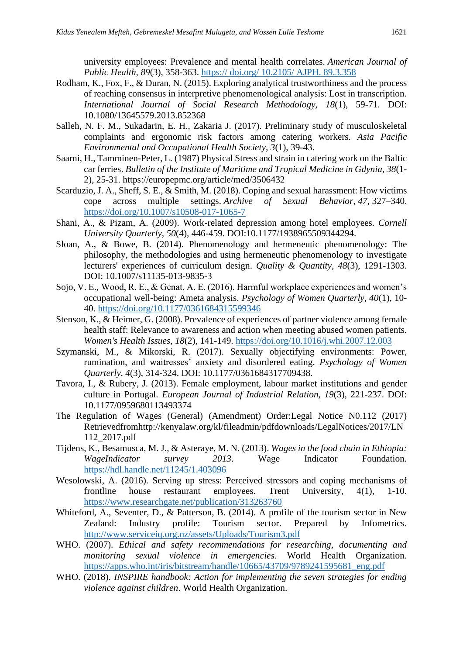university employees: Prevalence and mental health correlates. *American Journal of Public Health, 89*(3), 358-363. https:// doi.org/ 10.2105/ AJPH. 89.3.358

- Rodham, K., Fox, F., & Duran, N. (2015). Exploring analytical trustworthiness and the process of reaching consensus in interpretive phenomenological analysis: Lost in transcription. *International Journal of Social Research Methodology, 18*(1), 59-71. DOI: 10.1080/13645579.2013.852368
- Salleh, N. F. M., Sukadarin, E. H., Zakaria J. (2017). Preliminary study of musculoskeletal complaints and ergonomic risk factors among catering workers. *Asia Pacific Environmental and Occupational Health Society, 3*(1), 39-43.
- Saarni, H., Tamminen-Peter, L. (1987) Physical Stress and strain in catering work on the Baltic car ferries. *Bulletin of the Institute of Maritime and Tropical Medicine in Gdynia, 38*(1- 2), 25-31. https://europepmc.org/article/med/3506432
- Scarduzio, J. A., Sheff, S. E., & Smith, M. (2018). Coping and sexual harassment: How victims cope across multiple settings. *Archive of Sexual Behavior, 47*, 327–340. <https://doi.org/10.1007/s10508-017-1065-7>
- Shani, A., & Pizam, A. (2009). Work-related depression among hotel employees. *Cornell University Quarterly, 50*(4), 446-459. DOI:10.1177/1938965509344294.
- Sloan, A., & Bowe, B. (2014). Phenomenology and hermeneutic phenomenology: The philosophy, the methodologies and using hermeneutic phenomenology to investigate lecturers' experiences of curriculum design. *Quality & Quantity, 48*(3), 1291-1303. DOI: 10.1007/s11135-013-9835-3
- Sojo, V. E., Wood, R. E., & Genat, A. E. (2016). Harmful workplace experiences and women's occupational well-being: Ameta analysis. *Psychology of Women Quarterly, 40*(1), 10- 40.<https://doi.org/10.1177/0361684315599346>
- Stenson, K., & Heimer, G. (2008). Prevalence of experiences of partner violence among female health staff: Relevance to awareness and action when meeting abused women patients. *Women's Health Issues, 18*(2), 141-149.<https://doi.org/10.1016/j.whi.2007.12.003>
- Szymanski, M., & Mikorski, R. (2017). Sexually objectifying environments: Power, rumination, and waitresses' anxiety and disordered eating. *Psychology of Women Quarterly, 4*(3), 314-324. DOI: 10.1177/0361684317709438.
- Tavora, I., & Rubery, J. (2013). Female employment, labour market institutions and gender culture in Portugal. *European Journal of Industrial Relation, 19*(3), 221-237. DOI: 10.1177/0959680113493374
- The Regulation of Wages (General) (Amendment) Order:Legal Notice N0.112 (2017) Retrievedfromhttp://kenyalaw.org/kl/fileadmin/pdfdownloads/LegalNotices/2017/LN 112\_2017.pdf
- Tijdens, K., Besamusca, M. J., & Asteraye, M. N. (2013). *Wages in the food chain in Ethiopia: WageIndicator survey 2013*. Wage Indicator Foundation. <https://hdl.handle.net/11245/1.403096>
- Wesolowski, A. (2016). Serving up stress: Perceived stressors and coping mechanisms of frontline house restaurant employees. Trent University, 4(1), 1-10. <https://www.researchgate.net/publication/313263760>
- Whiteford, A., Seventer, D., & Patterson, B. (2014). A profile of the tourism sector in New Zealand: Industry profile: Tourism sector. Prepared by Infometrics. <http://www.serviceiq.org.nz/assets/Uploads/Tourism3.pdf>
- WHO. (2007). *Ethical and safety recommendations for researching, documenting and monitoring sexual violence in emergencies*. World Health Organization. [https://apps.who.int/iris/bitstream/handle/10665/43709/9789241595681\\_eng.pdf](https://apps.who.int/iris/bitstream/handle/10665/43709/9789241595681_eng.pdf)
- WHO. (2018). *INSPIRE handbook: Action for implementing the seven strategies for ending violence against children*. World Health Organization.